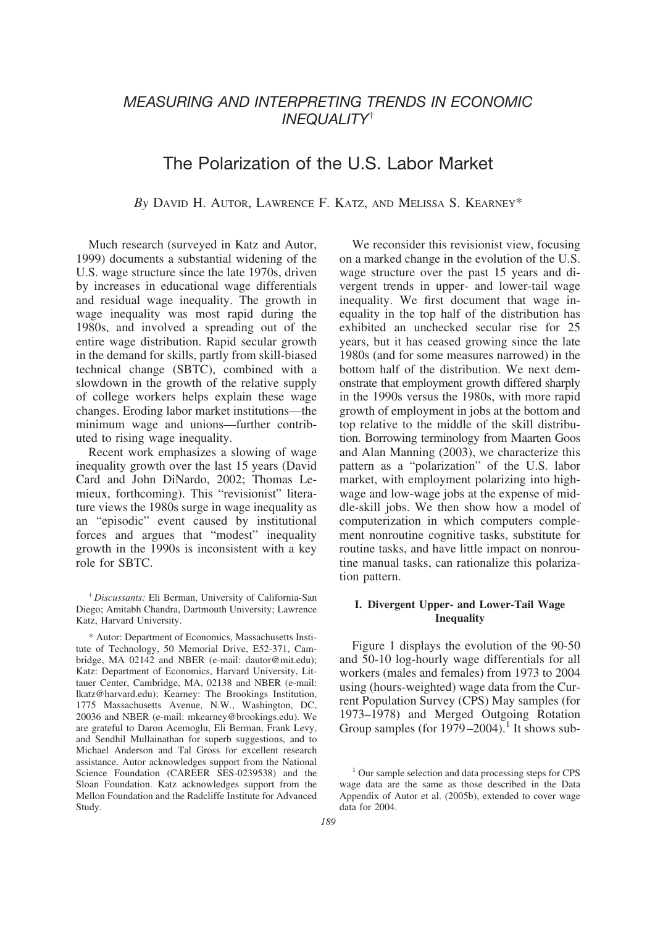## *MEASURING AND INTERPRETING TRENDS IN ECONOMIC INEQUALITY*†

# The Polarization of the U.S. Labor Market

### *By* DAVID H. AUTOR, LAWRENCE F. KATZ, AND MELISSA S. KEARNEY\*

Much research (surveyed in Katz and Autor, 1999) documents a substantial widening of the U.S. wage structure since the late 1970s, driven by increases in educational wage differentials and residual wage inequality. The growth in wage inequality was most rapid during the 1980s, and involved a spreading out of the entire wage distribution. Rapid secular growth in the demand for skills, partly from skill-biased technical change (SBTC), combined with a slowdown in the growth of the relative supply of college workers helps explain these wage changes. Eroding labor market institutions—the minimum wage and unions—further contributed to rising wage inequality.

Recent work emphasizes a slowing of wage inequality growth over the last 15 years (David Card and John DiNardo, 2002; Thomas Lemieux, forthcoming). This "revisionist" literature views the 1980s surge in wage inequality as an "episodic" event caused by institutional forces and argues that "modest" inequality growth in the 1990s is inconsistent with a key role for SBTC.

We reconsider this revisionist view, focusing on a marked change in the evolution of the U.S. wage structure over the past 15 years and divergent trends in upper- and lower-tail wage inequality. We first document that wage inequality in the top half of the distribution has exhibited an unchecked secular rise for 25 years, but it has ceased growing since the late 1980s (and for some measures narrowed) in the bottom half of the distribution. We next demonstrate that employment growth differed sharply in the 1990s versus the 1980s, with more rapid growth of employment in jobs at the bottom and top relative to the middle of the skill distribution. Borrowing terminology from Maarten Goos and Alan Manning (2003), we characterize this pattern as a "polarization" of the U.S. labor market, with employment polarizing into highwage and low-wage jobs at the expense of middle-skill jobs. We then show how a model of computerization in which computers complement nonroutine cognitive tasks, substitute for routine tasks, and have little impact on nonroutine manual tasks, can rationalize this polarization pattern.

### **I. Divergent Upper- and Lower-Tail Wage Inequality**

Figure 1 displays the evolution of the 90-50 and 50-10 log-hourly wage differentials for all workers (males and females) from 1973 to 2004 using (hours-weighted) wage data from the Current Population Survey (CPS) May samples (for 1973–1978) and Merged Outgoing Rotation Group samples (for  $1979-2004$ ).<sup>1</sup> It shows sub-

<sup>†</sup> *Discussants:* Eli Berman, University of California-San Diego; Amitabh Chandra, Dartmouth University; Lawrence Katz, Harvard University.

<sup>\*</sup> Autor: Department of Economics, Massachusetts Institute of Technology, 50 Memorial Drive, E52-371, Cambridge, MA 02142 and NBER (e-mail: dautor@mit.edu); Katz: Department of Economics, Harvard University, Littauer Center, Cambridge, MA, 02138 and NBER (e-mail: lkatz@harvard.edu); Kearney: The Brookings Institution, 1775 Massachusetts Avenue, N.W., Washington, DC, 20036 and NBER (e-mail: mkearney@brookings.edu). We are grateful to Daron Acemoglu, Eli Berman, Frank Levy, and Sendhil Mullainathan for superb suggestions, and to Michael Anderson and Tal Gross for excellent research assistance. Autor acknowledges support from the National Science Foundation (CAREER SES-0239538) and the Sloan Foundation. Katz acknowledges support from the Mellon Foundation and the Radcliffe Institute for Advanced Study.

<sup>1</sup> Our sample selection and data processing steps for CPS wage data are the same as those described in the Data Appendix of Autor et al. (2005b), extended to cover wage data for 2004.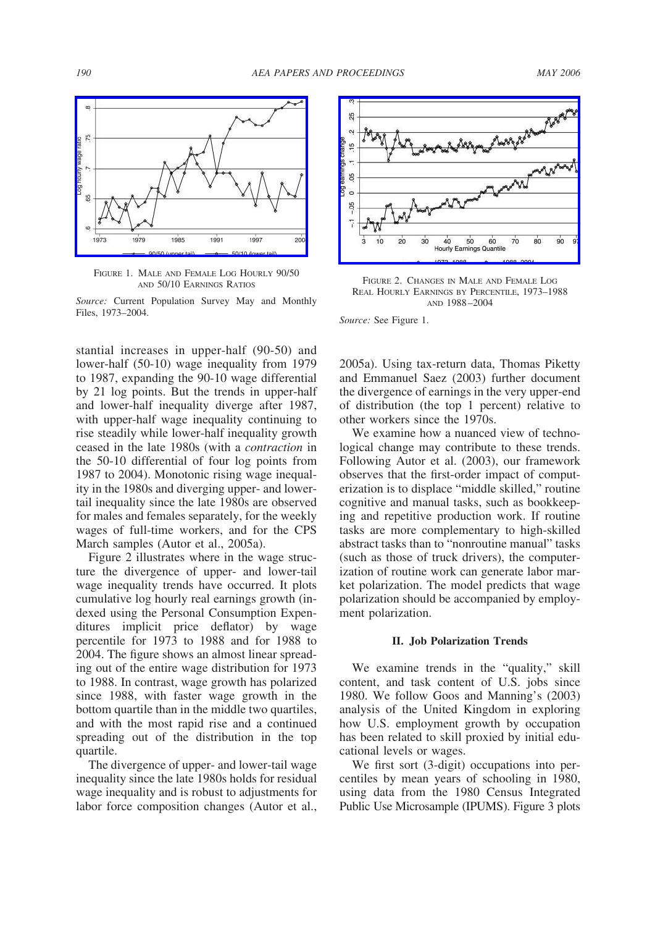

FIGURE 1. MALE AND FEMALE LOG HOURLY 90/50 AND 50/10 EARNINGS RATIOS

*Source:* Current Population Survey May and Monthly Files, 1973–2004.

stantial increases in upper-half (90-50) and lower-half (50-10) wage inequality from 1979 to 1987, expanding the 90-10 wage differential by 21 log points. But the trends in upper-half and lower-half inequality diverge after 1987, with upper-half wage inequality continuing to rise steadily while lower-half inequality growth ceased in the late 1980s (with a *contraction* in the 50-10 differential of four log points from 1987 to 2004). Monotonic rising wage inequality in the 1980s and diverging upper- and lowertail inequality since the late 1980s are observed for males and females separately, for the weekly wages of full-time workers, and for the CPS March samples (Autor et al., 2005a).

Figure 2 illustrates where in the wage structure the divergence of upper- and lower-tail wage inequality trends have occurred. It plots cumulative log hourly real earnings growth (indexed using the Personal Consumption Expenditures implicit price deflator) by wage percentile for 1973 to 1988 and for 1988 to 2004. The figure shows an almost linear spreading out of the entire wage distribution for 1973 to 1988. In contrast, wage growth has polarized since 1988, with faster wage growth in the bottom quartile than in the middle two quartiles, and with the most rapid rise and a continued spreading out of the distribution in the top quartile.

The divergence of upper- and lower-tail wage inequality since the late 1980s holds for residual wage inequality and is robust to adjustments for labor force composition changes (Autor et al.,



FIGURE 2. CHANGES IN MALE AND FEMALE LOG REAL HOURLY EARNINGS BY PERCENTILE, 1973–1988 AND 1988–2004

*Source:* See Figure 1.

2005a). Using tax-return data, Thomas Piketty and Emmanuel Saez (2003) further document the divergence of earnings in the very upper-end of distribution (the top 1 percent) relative to other workers since the 1970s.

We examine how a nuanced view of technological change may contribute to these trends. Following Autor et al. (2003), our framework observes that the first-order impact of computerization is to displace "middle skilled," routine cognitive and manual tasks, such as bookkeeping and repetitive production work. If routine tasks are more complementary to high-skilled abstract tasks than to "nonroutine manual" tasks (such as those of truck drivers), the computerization of routine work can generate labor market polarization. The model predicts that wage polarization should be accompanied by employment polarization.

#### **II. Job Polarization Trends**

We examine trends in the "quality," skill content, and task content of U.S. jobs since 1980. We follow Goos and Manning's (2003) analysis of the United Kingdom in exploring how U.S. employment growth by occupation has been related to skill proxied by initial educational levels or wages.

We first sort (3-digit) occupations into percentiles by mean years of schooling in 1980, using data from the 1980 Census Integrated Public Use Microsample (IPUMS). Figure 3 plots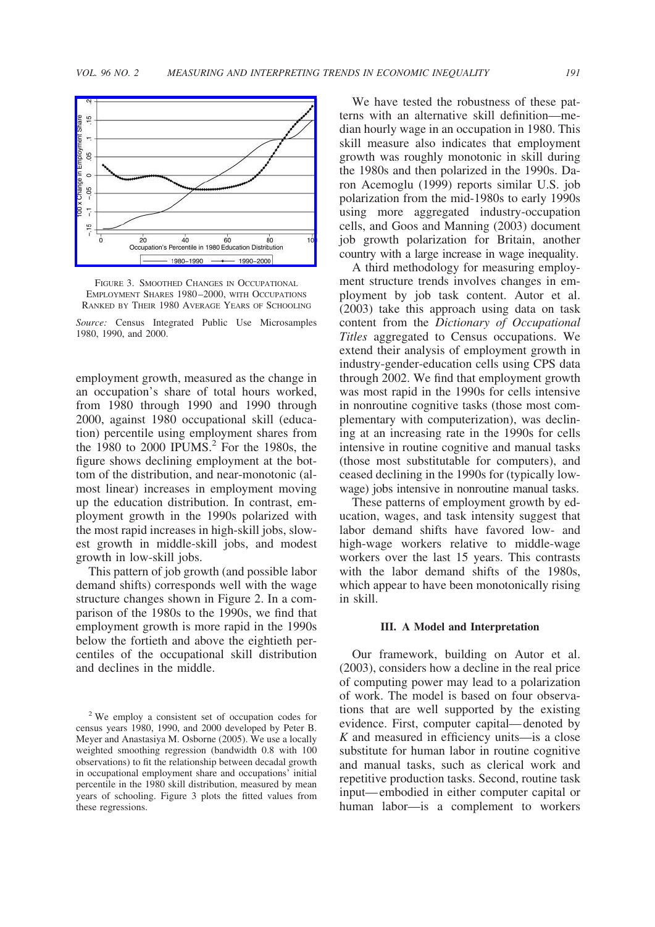

FIGURE 3. SMOOTHED CHANGES IN OCCUPATIONAL EMPLOYMENT SHARES 1980–2000, WITH OCCUPATIONS RANKED BY THEIR 1980 AVERAGE YEARS OF SCHOOLING

*Source:* Census Integrated Public Use Microsamples 1980, 1990, and 2000.

employment growth, measured as the change in an occupation's share of total hours worked, from 1980 through 1990 and 1990 through 2000, against 1980 occupational skill (education) percentile using employment shares from the 1980 to 2000 IPUMS.<sup>2</sup> For the 1980s, the figure shows declining employment at the bottom of the distribution, and near-monotonic (almost linear) increases in employment moving up the education distribution. In contrast, employment growth in the 1990s polarized with the most rapid increases in high-skill jobs, slowest growth in middle-skill jobs, and modest growth in low-skill jobs.

This pattern of job growth (and possible labor demand shifts) corresponds well with the wage structure changes shown in Figure 2. In a comparison of the 1980s to the 1990s, we find that employment growth is more rapid in the 1990s below the fortieth and above the eightieth percentiles of the occupational skill distribution and declines in the middle.

We have tested the robustness of these patterns with an alternative skill definition—median hourly wage in an occupation in 1980. This skill measure also indicates that employment growth was roughly monotonic in skill during the 1980s and then polarized in the 1990s. Daron Acemoglu (1999) reports similar U.S. job polarization from the mid-1980s to early 1990s using more aggregated industry-occupation cells, and Goos and Manning (2003) document job growth polarization for Britain, another country with a large increase in wage inequality.

A third methodology for measuring employment structure trends involves changes in employment by job task content. Autor et al. (2003) take this approach using data on task content from the *Dictionary of Occupational Titles* aggregated to Census occupations. We extend their analysis of employment growth in industry-gender-education cells using CPS data through 2002. We find that employment growth was most rapid in the 1990s for cells intensive in nonroutine cognitive tasks (those most complementary with computerization), was declining at an increasing rate in the 1990s for cells intensive in routine cognitive and manual tasks (those most substitutable for computers), and ceased declining in the 1990s for (typically lowwage) jobs intensive in nonroutine manual tasks.

These patterns of employment growth by education, wages, and task intensity suggest that labor demand shifts have favored low- and high-wage workers relative to middle-wage workers over the last 15 years. This contrasts with the labor demand shifts of the 1980s, which appear to have been monotonically rising in skill.

#### **III. A Model and Interpretation**

Our framework, building on Autor et al. (2003), considers how a decline in the real price of computing power may lead to a polarization of work. The model is based on four observations that are well supported by the existing evidence. First, computer capital—denoted by *K* and measured in efficiency units—is a close substitute for human labor in routine cognitive and manual tasks, such as clerical work and repetitive production tasks. Second, routine task input—embodied in either computer capital or human labor—is a complement to workers

<sup>2</sup> We employ a consistent set of occupation codes for census years 1980, 1990, and 2000 developed by Peter B. Meyer and Anastasiya M. Osborne (2005). We use a locally weighted smoothing regression (bandwidth 0.8 with 100 observations) to fit the relationship between decadal growth in occupational employment share and occupations' initial percentile in the 1980 skill distribution, measured by mean years of schooling. Figure 3 plots the fitted values from these regressions.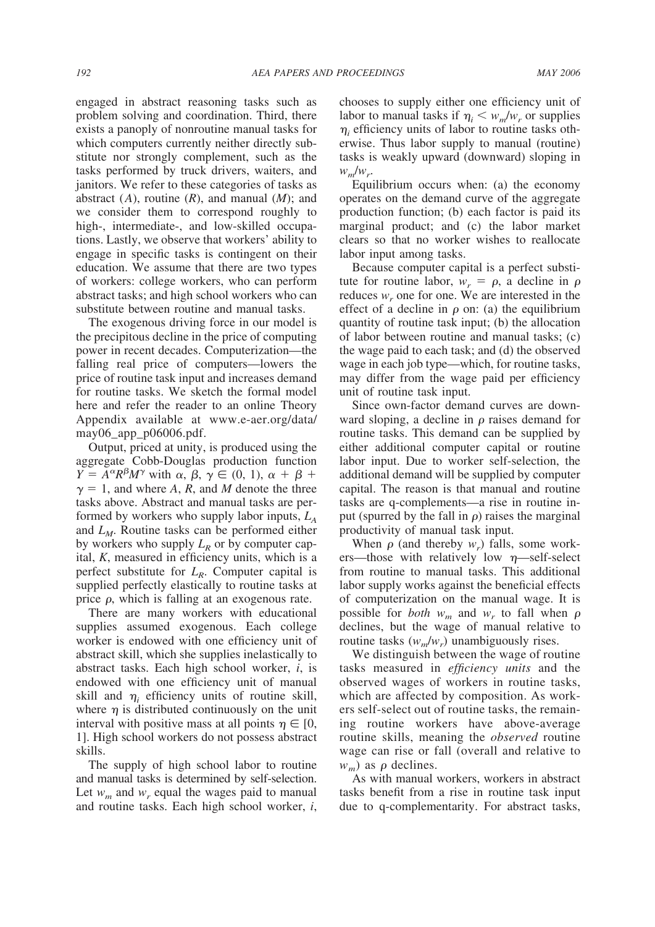engaged in abstract reasoning tasks such as problem solving and coordination. Third, there exists a panoply of nonroutine manual tasks for which computers currently neither directly substitute nor strongly complement, such as the tasks performed by truck drivers, waiters, and janitors. We refer to these categories of tasks as abstract  $(A)$ , routine  $(R)$ , and manual  $(M)$ ; and we consider them to correspond roughly to high-, intermediate-, and low-skilled occupations. Lastly, we observe that workers' ability to engage in specific tasks is contingent on their education. We assume that there are two types of workers: college workers, who can perform abstract tasks; and high school workers who can substitute between routine and manual tasks.

The exogenous driving force in our model is the precipitous decline in the price of computing power in recent decades. Computerization—the falling real price of computers—lowers the price of routine task input and increases demand for routine tasks. We sketch the formal model here and refer the reader to an online Theory Appendix available at www.e-aer.org/data/ may06\_app\_p06006.pdf.

Output, priced at unity, is produced using the aggregate Cobb-Douglas production function  $Y = A^{\alpha} R^{\beta} M^{\gamma}$  with  $\alpha, \beta, \gamma \in (0, 1), \alpha + \beta + \gamma$  $\gamma = 1$ , and where A, R, and M denote the three tasks above. Abstract and manual tasks are performed by workers who supply labor inputs, *LA* and *LM*. Routine tasks can be performed either by workers who supply  $L_R$  or by computer capital, *K*, measured in efficiency units, which is a perfect substitute for  $L_R$ . Computer capital is supplied perfectly elastically to routine tasks at price  $\rho$ , which is falling at an exogenous rate.

There are many workers with educational supplies assumed exogenous. Each college worker is endowed with one efficiency unit of abstract skill, which she supplies inelastically to abstract tasks. Each high school worker, *i*, is endowed with one efficiency unit of manual skill and  $\eta_i$  efficiency units of routine skill, where  $\eta$  is distributed continuously on the unit interval with positive mass at all points  $\eta \in [0,1]$ 1]. High school workers do not possess abstract skills.

The supply of high school labor to routine and manual tasks is determined by self-selection. Let  $w_m$  and  $w_r$  equal the wages paid to manual and routine tasks. Each high school worker, *i*, chooses to supply either one efficiency unit of labor to manual tasks if  $\eta_i < w_m/w_r$  or supplies  $\eta_i$  efficiency units of labor to routine tasks otherwise. Thus labor supply to manual (routine) tasks is weakly upward (downward) sloping in  $w_m/w_r$ .

Equilibrium occurs when: (a) the economy operates on the demand curve of the aggregate production function; (b) each factor is paid its marginal product; and (c) the labor market clears so that no worker wishes to reallocate labor input among tasks.

Because computer capital is a perfect substitute for routine labor,  $w_r = \rho$ , a decline in  $\rho$ reduces  $w_r$  one for one. We are interested in the effect of a decline in  $\rho$  on: (a) the equilibrium quantity of routine task input; (b) the allocation of labor between routine and manual tasks; (c) the wage paid to each task; and (d) the observed wage in each job type—which, for routine tasks, may differ from the wage paid per efficiency unit of routine task input.

Since own-factor demand curves are downward sloping, a decline in  $\rho$  raises demand for routine tasks. This demand can be supplied by either additional computer capital or routine labor input. Due to worker self-selection, the additional demand will be supplied by computer capital. The reason is that manual and routine tasks are q-complements—a rise in routine input (spurred by the fall in  $\rho$ ) raises the marginal productivity of manual task input.

When  $\rho$  (and thereby  $w_r$ ) falls, some workers—those with relatively low  $\eta$ —self-select from routine to manual tasks. This additional labor supply works against the beneficial effects of computerization on the manual wage. It is possible for *both*  $w_m$  and  $w_r$  to fall when  $\rho$ declines, but the wage of manual relative to routine tasks  $(w_m/w_r)$  unambiguously rises.

We distinguish between the wage of routine tasks measured in *efficiency units* and the observed wages of workers in routine tasks, which are affected by composition. As workers self-select out of routine tasks, the remaining routine workers have above-average routine skills, meaning the *observed* routine wage can rise or fall (overall and relative to  $w_m$ ) as  $\rho$  declines.

As with manual workers, workers in abstract tasks benefit from a rise in routine task input due to q-complementarity. For abstract tasks,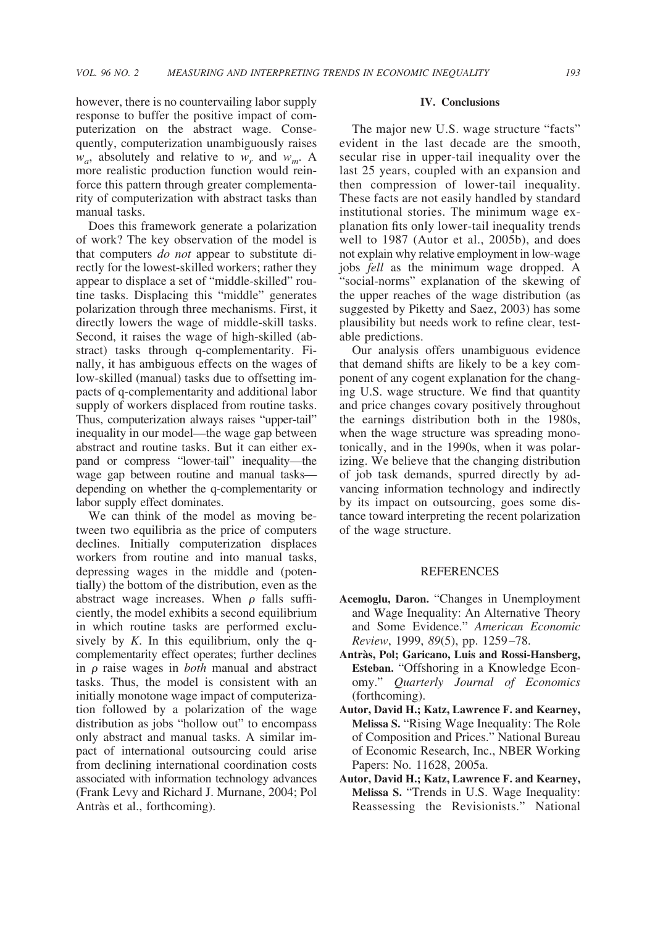however, there is no countervailing labor supply response to buffer the positive impact of computerization on the abstract wage. Consequently, computerization unambiguously raises  $w_a$ , absolutely and relative to  $w_r$  and  $w_m$ . A more realistic production function would reinforce this pattern through greater complementarity of computerization with abstract tasks than manual tasks.

Does this framework generate a polarization of work? The key observation of the model is that computers *do not* appear to substitute directly for the lowest-skilled workers; rather they appear to displace a set of "middle-skilled" routine tasks. Displacing this "middle" generates polarization through three mechanisms. First, it directly lowers the wage of middle-skill tasks. Second, it raises the wage of high-skilled (abstract) tasks through q-complementarity. Finally, it has ambiguous effects on the wages of low-skilled (manual) tasks due to offsetting impacts of q-complementarity and additional labor supply of workers displaced from routine tasks. Thus, computerization always raises "upper-tail" inequality in our model—the wage gap between abstract and routine tasks. But it can either expand or compress "lower-tail" inequality—the wage gap between routine and manual tasks depending on whether the q-complementarity or labor supply effect dominates.

We can think of the model as moving between two equilibria as the price of computers declines. Initially computerization displaces workers from routine and into manual tasks, depressing wages in the middle and (potentially) the bottom of the distribution, even as the abstract wage increases. When  $\rho$  falls sufficiently, the model exhibits a second equilibrium in which routine tasks are performed exclusively by *K*. In this equilibrium, only the qcomplementarity effect operates; further declines in  $\rho$  raise wages in *both* manual and abstract tasks. Thus, the model is consistent with an initially monotone wage impact of computerization followed by a polarization of the wage distribution as jobs "hollow out" to encompass only abstract and manual tasks. A similar impact of international outsourcing could arise from declining international coordination costs associated with information technology advances (Frank Levy and Richard J. Murnane, 2004; Pol Antràs et al., forthcoming).

#### **IV. Conclusions**

The major new U.S. wage structure "facts" evident in the last decade are the smooth, secular rise in upper-tail inequality over the last 25 years, coupled with an expansion and then compression of lower-tail inequality. These facts are not easily handled by standard institutional stories. The minimum wage explanation fits only lower-tail inequality trends well to 1987 (Autor et al., 2005b), and does not explain why relative employment in low-wage jobs *fell* as the minimum wage dropped. A "social-norms" explanation of the skewing of the upper reaches of the wage distribution (as suggested by Piketty and Saez, 2003) has some plausibility but needs work to refine clear, testable predictions.

Our analysis offers unambiguous evidence that demand shifts are likely to be a key component of any cogent explanation for the changing U.S. wage structure. We find that quantity and price changes covary positively throughout the earnings distribution both in the 1980s, when the wage structure was spreading monotonically, and in the 1990s, when it was polarizing. We believe that the changing distribution of job task demands, spurred directly by advancing information technology and indirectly by its impact on outsourcing, goes some distance toward interpreting the recent polarization of the wage structure.

#### REFERENCES

- **Acemoglu, Daron.** "Changes in Unemployment and Wage Inequality: An Alternative Theory and Some Evidence." *American Economic Review*, 1999, *89*(5), pp. 1259–78.
- **Antra`s, Pol; Garicano, Luis and Rossi-Hansberg, Esteban.** "Offshoring in a Knowledge Economy." *Quarterly Journal of Economics* (forthcoming).
- **Autor, David H.; Katz, Lawrence F. and Kearney, Melissa S.** "Rising Wage Inequality: The Role of Composition and Prices." National Bureau of Economic Research, Inc., NBER Working Papers: No. 11628, 2005a.
- **Autor, David H.; Katz, Lawrence F. and Kearney, Melissa S.** "Trends in U.S. Wage Inequality: Reassessing the Revisionists." National